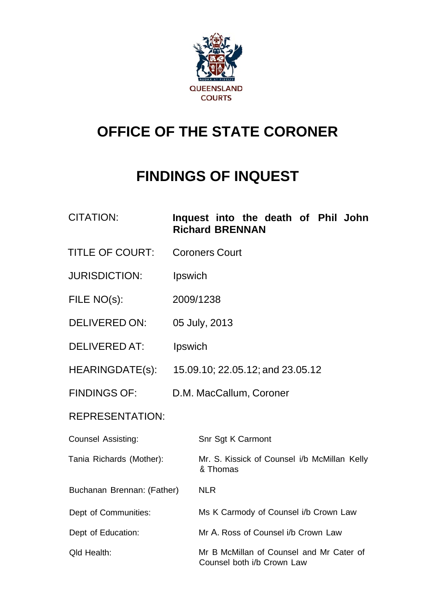

# **OFFICE OF THE STATE CORONER**

# **FINDINGS OF INQUEST**

| <b>CITATION:</b>           |                                  | Inquest into the death of Phil John<br><b>Richard BRENNAN</b>          |  |  |  |
|----------------------------|----------------------------------|------------------------------------------------------------------------|--|--|--|
| <b>TITLE OF COURT:</b>     | <b>Coroners Court</b>            |                                                                        |  |  |  |
| <b>JURISDICTION:</b>       | Ipswich                          |                                                                        |  |  |  |
| FILE NO(s):                | 2009/1238                        |                                                                        |  |  |  |
| <b>DELIVERED ON:</b>       | 05 July, 2013                    |                                                                        |  |  |  |
| <b>DELIVERED AT:</b>       | Ipswich                          |                                                                        |  |  |  |
| HEARINGDATE(s):            | 15.09.10; 22.05.12; and 23.05.12 |                                                                        |  |  |  |
| <b>FINDINGS OF:</b>        |                                  | D.M. MacCallum, Coroner                                                |  |  |  |
| <b>REPRESENTATION:</b>     |                                  |                                                                        |  |  |  |
| <b>Counsel Assisting:</b>  |                                  | Snr Sgt K Carmont                                                      |  |  |  |
| Tania Richards (Mother):   |                                  | Mr. S. Kissick of Counsel i/b McMillan Kelly<br>& Thomas               |  |  |  |
| Buchanan Brennan: (Father) |                                  | <b>NLR</b>                                                             |  |  |  |
| Dept of Communities:       |                                  | Ms K Carmody of Counsel i/b Crown Law                                  |  |  |  |
| Dept of Education:         |                                  | Mr A. Ross of Counsel i/b Crown Law                                    |  |  |  |
| Qld Health:                |                                  | Mr B McMillan of Counsel and Mr Cater of<br>Counsel both i/b Crown Law |  |  |  |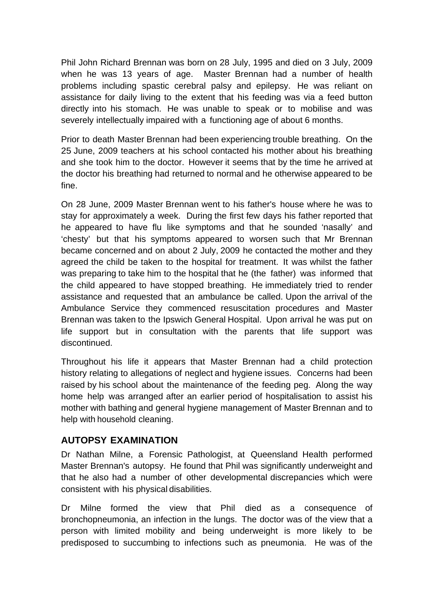Phil John Richard Brennan was born on 28 July, 1995 and died on 3 July, 2009 when he was 13 years of age. Master Brennan had a number of health problems including spastic cerebral palsy and epilepsy. He was reliant on assistance for daily living to the extent that his feeding was via a feed button directly into his stomach. He was unable to speak or to mobilise and was severely intellectually impaired with a functioning age of about 6 months.

Prior to death Master Brennan had been experiencing trouble breathing. On the 25 June, 2009 teachers at his school contacted his mother about his breathing and she took him to the doctor. However it seems that by the time he arrived at the doctor his breathing had returned to normal and he otherwise appeared to be fine.

On 28 June, 2009 Master Brennan went to his father's house where he was to stay for approximately a week. During the first few days his father reported that he appeared to have flu like symptoms and that he sounded 'nasally' and 'chesty' but that his symptoms appeared to worsen such that Mr Brennan became concerned and on about 2 July, 2009 he contacted the mother and they agreed the child be taken to the hospital for treatment. It was whilst the father was preparing to take him to the hospital that he (the father) was informed that the child appeared to have stopped breathing. He immediately tried to render assistance and requested that an ambulance be called. Upon the arrival of the Ambulance Service they commenced resuscitation procedures and Master Brennan was taken to the Ipswich General Hospital. Upon arrival he was put on life support but in consultation with the parents that life support was discontinued.

Throughout his life it appears that Master Brennan had a child protection history relating to allegations of neglect and hygiene issues. Concerns had been raised by his school about the maintenance of the feeding peg. Along the way home help was arranged after an earlier period of hospitalisation to assist his mother with bathing and general hygiene management of Master Brennan and to help with household cleaning.

#### **AUTOPSY EXAMINATION**

Dr Nathan Milne, a Forensic Pathologist, at Queensland Health performed Master Brennan's autopsy. He found that Phil was significantly underweight and that he also had a number of other developmental discrepancies which were consistent with his physical disabilities.

Dr Milne formed the view that Phil died as a consequence of bronchopneumonia, an infection in the lungs. The doctor was of the view that a person with limited mobility and being underweight is more likely to be predisposed to succumbing to infections such as pneumonia. He was of the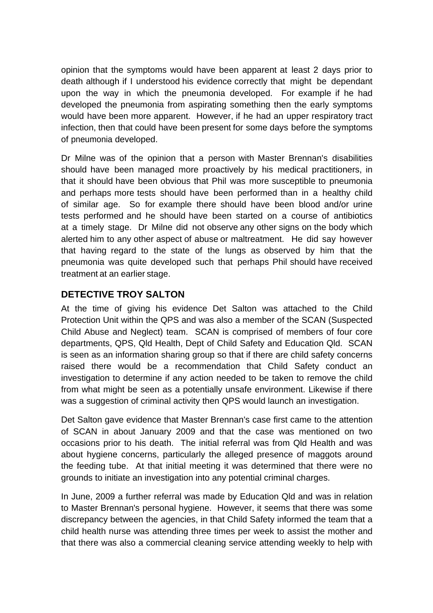opinion that the symptoms would have been apparent at least 2 days prior to death although if I understood his evidence correctly that might be dependant upon the way in which the pneumonia developed. For example if he had developed the pneumonia from aspirating something then the early symptoms would have been more apparent. However, if he had an upper respiratory tract infection, then that could have been present for some days before the symptoms of pneumonia developed.

Dr Milne was of the opinion that a person with Master Brennan's disabilities should have been managed more proactively by his medical practitioners, in that it should have been obvious that Phil was more susceptible to pneumonia and perhaps more tests should have been performed than in a healthy child of similar age. So for example there should have been blood and/or urine tests performed and he should have been started on a course of antibiotics at a timely stage. Dr Milne did not observe any other signs on the body which alerted him to any other aspect of abuse or maltreatment. He did say however that having regard to the state of the lungs as observed by him that the pneumonia was quite developed such that perhaps Phil should have received treatment at an earlier stage.

## **DETECTIVE TROY SALTON**

At the time of giving his evidence Det Salton was attached to the Child Protection Unit within the QPS and was also a member of the SCAN (Suspected Child Abuse and Neglect) team. SCAN is comprised of members of four core departments, QPS, Qld Health, Dept of Child Safety and Education Qld. SCAN is seen as an information sharing group so that if there are child safety concerns raised there would be a recommendation that Child Safety conduct an investigation to determine if any action needed to be taken to remove the child from what might be seen as a potentially unsafe environment. Likewise if there was a suggestion of criminal activity then QPS would launch an investigation.

Det Salton gave evidence that Master Brennan's case first came to the attention of SCAN in about January 2009 and that the case was mentioned on two occasions prior to his death. The initial referral was from Qld Health and was about hygiene concerns, particularly the alleged presence of maggots around the feeding tube. At that initial meeting it was determined that there were no grounds to initiate an investigation into any potential criminal charges.

In June, 2009 a further referral was made by Education Qld and was in relation to Master Brennan's personal hygiene. However, it seems that there was some discrepancy between the agencies, in that Child Safety informed the team that a child health nurse was attending three times per week to assist the mother and that there was also a commercial cleaning service attending weekly to help with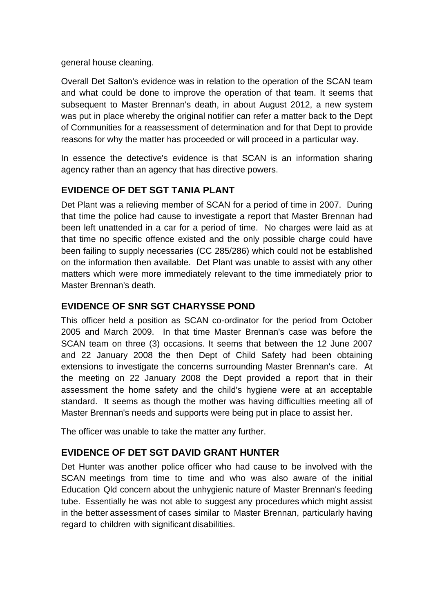general house cleaning.

Overall Det Salton's evidence was in relation to the operation of the SCAN team and what could be done to improve the operation of that team. It seems that subsequent to Master Brennan's death, in about August 2012, a new system was put in place whereby the original notifier can refer a matter back to the Dept of Communities for a reassessment of determination and for that Dept to provide reasons for why the matter has proceeded or will proceed in a particular way.

In essence the detective's evidence is that SCAN is an information sharing agency rather than an agency that has directive powers.

## **EVIDENCE OF DET SGT TANIA PLANT**

Det Plant was a relieving member of SCAN for a period of time in 2007. During that time the police had cause to investigate a report that Master Brennan had been left unattended in a car for a period of time. No charges were laid as at that time no specific offence existed and the only possible charge could have been failing to supply necessaries (CC 285/286) which could not be established on the information then available. Det Plant was unable to assist with any other matters which were more immediately relevant to the time immediately prior to Master Brennan's death.

#### **EVIDENCE OF SNR SGT CHARYSSE POND**

This officer held a position as SCAN co-ordinator for the period from October 2005 and March 2009. In that time Master Brennan's case was before the SCAN team on three (3) occasions. It seems that between the 12 June 2007 and 22 January 2008 the then Dept of Child Safety had been obtaining extensions to investigate the concerns surrounding Master Brennan's care. At the meeting on 22 January 2008 the Dept provided a report that in their assessment the home safety and the child's hygiene were at an acceptable standard. It seems as though the mother was having difficulties meeting all of Master Brennan's needs and supports were being put in place to assist her.

The officer was unable to take the matter any further.

### **EVIDENCE OF DET SGT DAVID GRANT HUNTER**

Det Hunter was another police officer who had cause to be involved with the SCAN meetings from time to time and who was also aware of the initial Education Qld concern about the unhygienic nature of Master Brennan's feeding tube. Essentially he was not able to suggest any procedures which might assist in the better assessment of cases similar to Master Brennan, particularly having regard to children with significant disabilities.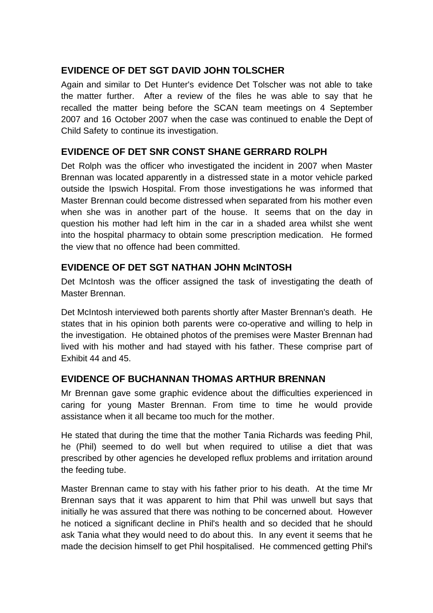## **EVIDENCE OF DET SGT DAVID JOHN TOLSCHER**

Again and similar to Det Hunter's evidence Det Tolscher was not able to take the matter further. After a review of the files he was able to say that he recalled the matter being before the SCAN team meetings on 4 September 2007 and 16 October 2007 when the case was continued to enable the Dept of Child Safety to continue its investigation.

## **EVIDENCE OF DET SNR CONST SHANE GERRARD ROLPH**

Det Rolph was the officer who investigated the incident in 2007 when Master Brennan was located apparently in a distressed state in a motor vehicle parked outside the Ipswich Hospital. From those investigations he was informed that Master Brennan could become distressed when separated from his mother even when she was in another part of the house. It seems that on the day in question his mother had left him in the car in a shaded area whilst she went into the hospital pharmacy to obtain some prescription medication. He formed the view that no offence had been committed.

## **EVIDENCE OF DET SGT NATHAN JOHN McINTOSH**

Det McIntosh was the officer assigned the task of investigating the death of Master Brennan.

Det McIntosh interviewed both parents shortly after Master Brennan's death. He states that in his opinion both parents were co-operative and willing to help in the investigation. He obtained photos of the premises were Master Brennan had lived with his mother and had stayed with his father. These comprise part of Exhibit 44 and 45.

# **EVIDENCE OF BUCHANNAN THOMAS ARTHUR BRENNAN**

Mr Brennan gave some graphic evidence about the difficulties experienced in caring for young Master Brennan. From time to time he would provide assistance when it all became too much for the mother.

He stated that during the time that the mother Tania Richards was feeding Phil, he (Phil) seemed to do well but when required to utilise a diet that was prescribed by other agencies he developed reflux problems and irritation around the feeding tube.

Master Brennan came to stay with his father prior to his death. At the time Mr Brennan says that it was apparent to him that Phil was unwell but says that initially he was assured that there was nothing to be concerned about. However he noticed a significant decline in Phil's health and so decided that he should ask Tania what they would need to do about this. In any event it seems that he made the decision himself to get Phil hospitalised. He commenced getting Phil's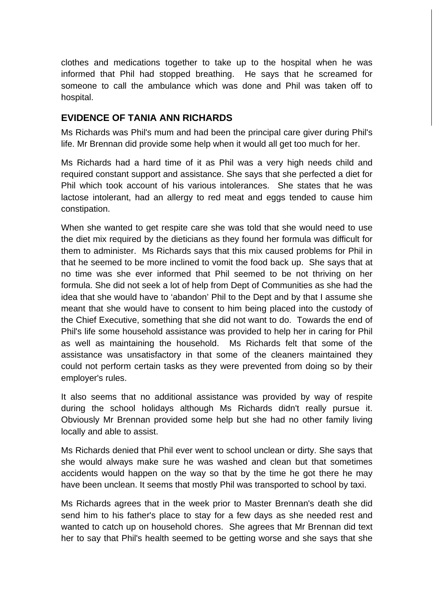clothes and medications together to take up to the hospital when he was informed that Phil had stopped breathing. He says that he screamed for someone to call the ambulance which was done and Phil was taken off to hospital.

### **EVIDENCE OF TANIA ANN RICHARDS**

Ms Richards was Phil's mum and had been the principal care giver during Phil's life. Mr Brennan did provide some help when it would all get too much for her.

Ms Richards had a hard time of it as Phil was a very high needs child and required constant support and assistance. She says that she perfected a diet for Phil which took account of his various intolerances. She states that he was lactose intolerant, had an allergy to red meat and eggs tended to cause him constipation.

When she wanted to get respite care she was told that she would need to use the diet mix required by the dieticians as they found her formula was difficult for them to administer. Ms Richards says that this mix caused problems for Phil in that he seemed to be more inclined to vomit the food back up. She says that at no time was she ever informed that Phil seemed to be not thriving on her formula. She did not seek a lot of help from Dept of Communities as she had the idea that she would have to 'abandon' Phil to the Dept and by that I assume she meant that she would have to consent to him being placed into the custody of the Chief Executive, something that she did not want to do. Towards the end of Phil's life some household assistance was provided to help her in caring for Phil as well as maintaining the household. Ms Richards felt that some of the assistance was unsatisfactory in that some of the cleaners maintained they could not perform certain tasks as they were prevented from doing so by their employer's rules.

It also seems that no additional assistance was provided by way of respite during the school holidays although Ms Richards didn't really pursue it. Obviously Mr Brennan provided some help but she had no other family living locally and able to assist.

Ms Richards denied that Phil ever went to school unclean or dirty. She says that she would always make sure he was washed and clean but that sometimes accidents would happen on the way so that by the time he got there he may have been unclean. It seems that mostly Phil was transported to school by taxi.

Ms Richards agrees that in the week prior to Master Brennan's death she did send him to his father's place to stay for a few days as she needed rest and wanted to catch up on household chores. She agrees that Mr Brennan did text her to say that Phil's health seemed to be getting worse and she says that she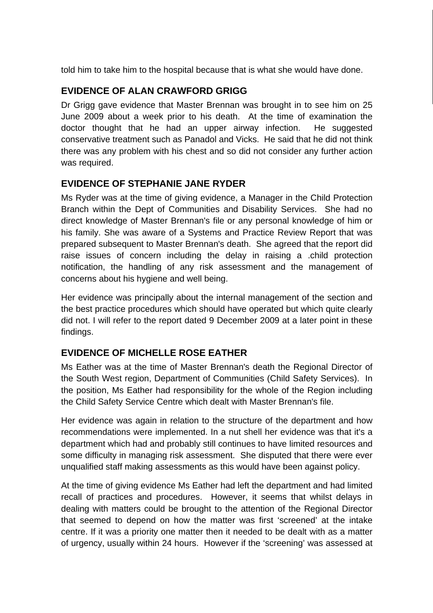told him to take him to the hospital because that is what she would have done.

## **EVIDENCE OF ALAN CRAWFORD GRIGG**

Dr Grigg gave evidence that Master Brennan was brought in to see him on 25 June 2009 about a week prior to his death. At the time of examination the doctor thought that he had an upper airway infection. He suggested conservative treatment such as Panadol and Vicks. He said that he did not think there was any problem with his chest and so did not consider any further action was required.

## **EVIDENCE OF STEPHANIE JANE RYDER**

Ms Ryder was at the time of giving evidence, a Manager in the Child Protection Branch within the Dept of Communities and Disability Services. She had no direct knowledge of Master Brennan's file or any personal knowledge of him or his family. She was aware of a Systems and Practice Review Report that was prepared subsequent to Master Brennan's death. She agreed that the report did raise issues of concern including the delay in raising a .child protection notification, the handling of any risk assessment and the management of concerns about his hygiene and well being.

Her evidence was principally about the internal management of the section and the best practice procedures which should have operated but which quite clearly did not. I will refer to the report dated 9 December 2009 at a later point in these findings.

# **EVIDENCE OF MICHELLE ROSE EATHER**

Ms Eather was at the time of Master Brennan's death the Regional Director of the South West region, Department of Communities (Child Safety Services). In the position, Ms Eather had responsibility for the whole of the Region including the Child Safety Service Centre which dealt with Master Brennan's file.

Her evidence was again in relation to the structure of the department and how recommendations were implemented. In a nut shell her evidence was that it's a department which had and probably still continues to have limited resources and some difficulty in managing risk assessment. She disputed that there were ever unqualified staff making assessments as this would have been against policy.

At the time of giving evidence Ms Eather had left the department and had limited recall of practices and procedures. However, it seems that whilst delays in dealing with matters could be brought to the attention of the Regional Director that seemed to depend on how the matter was first 'screened' at the intake centre. If it was a priority one matter then it needed to be dealt with as a matter of urgency, usually within 24 hours. However if the 'screening' was assessed at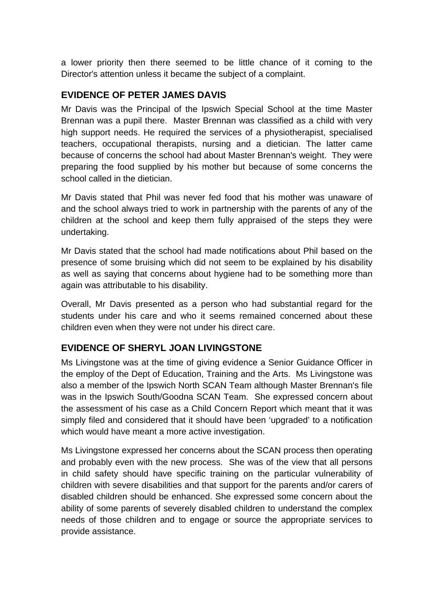a lower priority then there seemed to be little chance of it coming to the Director's attention unless it became the subject of a complaint.

#### **EVIDENCE OF PETER JAMES DAVIS**

Mr Davis was the Principal of the Ipswich Special School at the time Master Brennan was a pupil there. Master Brennan was classified as a child with very high support needs. He required the services of a physiotherapist, specialised teachers, occupational therapists, nursing and a dietician. The latter came because of concerns the school had about Master Brennan's weight. They were preparing the food supplied by his mother but because of some concerns the school called in the dietician

Mr Davis stated that Phil was never fed food that his mother was unaware of and the school always tried to work in partnership with the parents of any of the children at the school and keep them fully appraised of the steps they were undertaking.

Mr Davis stated that the school had made notifications about Phil based on the presence of some bruising which did not seem to be explained by his disability as well as saying that concerns about hygiene had to be something more than again was attributable to his disability.

Overall, Mr Davis presented as a person who had substantial regard for the students under his care and who it seems remained concerned about these children even when they were not under his direct care.

### **EVIDENCE OF SHERYL JOAN LIVINGSTONE**

Ms Livingstone was at the time of giving evidence a Senior Guidance Officer in the employ of the Dept of Education, Training and the Arts. Ms Livingstone was also a member of the Ipswich North SCAN Team although Master Brennan's file was in the Ipswich South/Goodna SCAN Team. She expressed concern about the assessment of his case as a Child Concern Report which meant that it was simply filed and considered that it should have been 'upgraded' to a notification which would have meant a more active investigation.

Ms Livingstone expressed her concerns about the SCAN process then operating and probably even with the new process. She was of the view that all persons in child safety should have specific training on the particular vulnerability of children with severe disabilities and that support for the parents and/or carers of disabled children should be enhanced. She expressed some concern about the ability of some parents of severely disabled children to understand the complex needs of those children and to engage or source the appropriate services to provide assistance.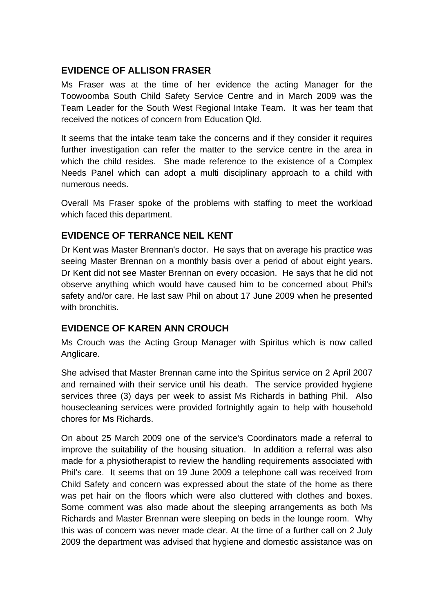### **EVIDENCE OF ALLISON FRASER**

Ms Fraser was at the time of her evidence the acting Manager for the Toowoomba South Child Safety Service Centre and in March 2009 was the Team Leader for the South West Regional Intake Team. It was her team that received the notices of concern from Education Qld.

It seems that the intake team take the concerns and if they consider it requires further investigation can refer the matter to the service centre in the area in which the child resides. She made reference to the existence of a Complex Needs Panel which can adopt a multi disciplinary approach to a child with numerous needs.

Overall Ms Fraser spoke of the problems with staffing to meet the workload which faced this department.

# **EVIDENCE OF TERRANCE NEIL KENT**

Dr Kent was Master Brennan's doctor. He says that on average his practice was seeing Master Brennan on a monthly basis over a period of about eight years. Dr Kent did not see Master Brennan on every occasion. He says that he did not observe anything which would have caused him to be concerned about Phil's safety and/or care. He last saw Phil on about 17 June 2009 when he presented with bronchitis.

### **EVIDENCE OF KAREN ANN CROUCH**

Ms Crouch was the Acting Group Manager with Spiritus which is now called Anglicare.

She advised that Master Brennan came into the Spiritus service on 2 April 2007 and remained with their service until his death. The service provided hygiene services three (3) days per week to assist Ms Richards in bathing Phil. Also housecleaning services were provided fortnightly again to help with household chores for Ms Richards.

On about 25 March 2009 one of the service's Coordinators made a referral to improve the suitability of the housing situation. In addition a referral was also made for a physiotherapist to review the handling requirements associated with Phil's care. It seems that on 19 June 2009 a telephone call was received from Child Safety and concern was expressed about the state of the home as there was pet hair on the floors which were also cluttered with clothes and boxes. Some comment was also made about the sleeping arrangements as both Ms Richards and Master Brennan were sleeping on beds in the lounge room. Why this was of concern was never made clear. At the time of a further call on 2 July 2009 the department was advised that hygiene and domestic assistance was on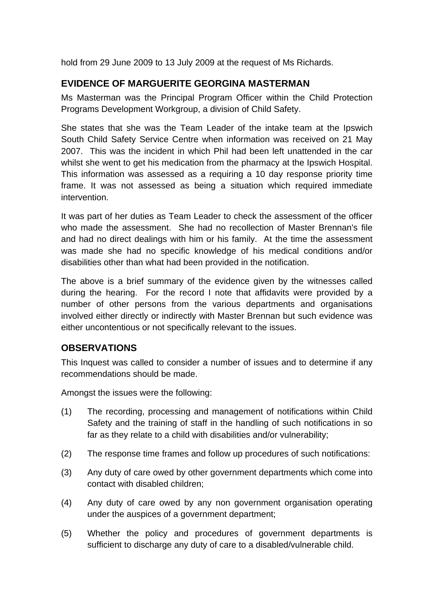hold from 29 June 2009 to 13 July 2009 at the request of Ms Richards.

## **EVIDENCE OF MARGUERITE GEORGINA MASTERMAN**

Ms Masterman was the Principal Program Officer within the Child Protection Programs Development Workgroup, a division of Child Safety.

She states that she was the Team Leader of the intake team at the Ipswich South Child Safety Service Centre when information was received on 21 May 2007. This was the incident in which Phil had been left unattended in the car whilst she went to get his medication from the pharmacy at the Ipswich Hospital. This information was assessed as a requiring a 10 day response priority time frame. It was not assessed as being a situation which required immediate intervention.

It was part of her duties as Team Leader to check the assessment of the officer who made the assessment. She had no recollection of Master Brennan's file and had no direct dealings with him or his family. At the time the assessment was made she had no specific knowledge of his medical conditions and/or disabilities other than what had been provided in the notification.

The above is a brief summary of the evidence given by the witnesses called during the hearing. For the record I note that affidavits were provided by a number of other persons from the various departments and organisations involved either directly or indirectly with Master Brennan but such evidence was either uncontentious or not specifically relevant to the issues.

### **OBSERVATIONS**

This Inquest was called to consider a number of issues and to determine if any recommendations should be made.

Amongst the issues were the following:

- (1) The recording, processing and management of notifications within Child Safety and the training of staff in the handling of such notifications in so far as they relate to a child with disabilities and/or vulnerability;
- (2) The response time frames and follow up procedures of such notifications:
- (3) Any duty of care owed by other government departments which come into contact with disabled children;
- (4) Any duty of care owed by any non government organisation operating under the auspices of a government department;
- (5) Whether the policy and procedures of government departments is sufficient to discharge any duty of care to a disabled/vulnerable child.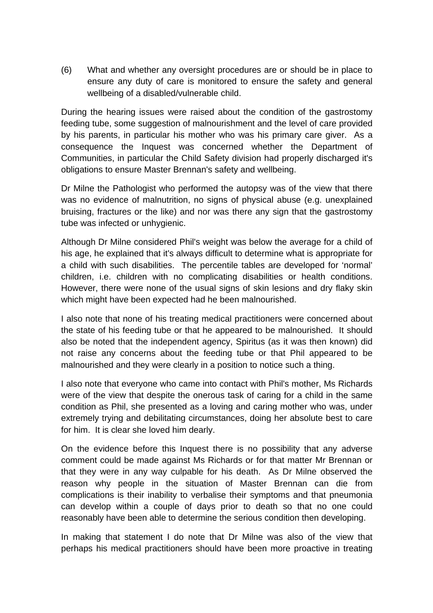(6) What and whether any oversight procedures are or should be in place to ensure any duty of care is monitored to ensure the safety and general wellbeing of a disabled/vulnerable child.

During the hearing issues were raised about the condition of the gastrostomy feeding tube, some suggestion of malnourishment and the level of care provided by his parents, in particular his mother who was his primary care giver. As a consequence the Inquest was concerned whether the Department of Communities, in particular the Child Safety division had properly discharged it's obligations to ensure Master Brennan's safety and wellbeing.

Dr Milne the Pathologist who performed the autopsy was of the view that there was no evidence of malnutrition, no signs of physical abuse (e.g. unexplained bruising, fractures or the like) and nor was there any sign that the gastrostomy tube was infected or unhygienic.

Although Dr Milne considered Phil's weight was below the average for a child of his age, he explained that it's always difficult to determine what is appropriate for a child with such disabilities. The percentile tables are developed for 'normal' children, i.e. children with no complicating disabilities or health conditions. However, there were none of the usual signs of skin lesions and dry flaky skin which might have been expected had he been malnourished.

I also note that none of his treating medical practitioners were concerned about the state of his feeding tube or that he appeared to be malnourished. It should also be noted that the independent agency, Spiritus (as it was then known) did not raise any concerns about the feeding tube or that Phil appeared to be malnourished and they were clearly in a position to notice such a thing.

I also note that everyone who came into contact with Phil's mother, Ms Richards were of the view that despite the onerous task of caring for a child in the same condition as Phil, she presented as a loving and caring mother who was, under extremely trying and debilitating circumstances, doing her absolute best to care for him. It is clear she loved him dearly.

On the evidence before this Inquest there is no possibility that any adverse comment could be made against Ms Richards or for that matter Mr Brennan or that they were in any way culpable for his death. As Dr Milne observed the reason why people in the situation of Master Brennan can die from complications is their inability to verbalise their symptoms and that pneumonia can develop within a couple of days prior to death so that no one could reasonably have been able to determine the serious condition then developing.

In making that statement I do note that Dr Milne was also of the view that perhaps his medical practitioners should have been more proactive in treating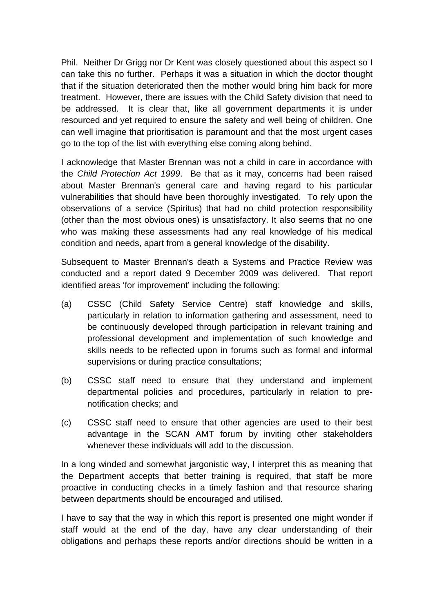Phil. Neither Dr Grigg nor Dr Kent was closely questioned about this aspect so I can take this no further. Perhaps it was a situation in which the doctor thought that if the situation deteriorated then the mother would bring him back for more treatment. However, there are issues with the Child Safety division that need to be addressed. It is clear that, like all government departments it is under resourced and yet required to ensure the safety and well being of children. One can well imagine that prioritisation is paramount and that the most urgent cases go to the top of the list with everything else coming along behind.

I acknowledge that Master Brennan was not a child in care in accordance with the *Child Protection Act 1999*. Be that as it may, concerns had been raised about Master Brennan's general care and having regard to his particular vulnerabilities that should have been thoroughly investigated. To rely upon the observations of a service (Spiritus) that had no child protection responsibility (other than the most obvious ones) is unsatisfactory. It also seems that no one who was making these assessments had any real knowledge of his medical condition and needs, apart from a general knowledge of the disability.

Subsequent to Master Brennan's death a Systems and Practice Review was conducted and a report dated 9 December 2009 was delivered. That report identified areas 'for improvement' including the following:

- (a) CSSC (Child Safety Service Centre) staff knowledge and skills, particularly in relation to information gathering and assessment, need to be continuously developed through participation in relevant training and professional development and implementation of such knowledge and skills needs to be reflected upon in forums such as formal and informal supervisions or during practice consultations;
- (b) CSSC staff need to ensure that they understand and implement departmental policies and procedures, particularly in relation to prenotification checks; and
- (c) CSSC staff need to ensure that other agencies are used to their best advantage in the SCAN AMT forum by inviting other stakeholders whenever these individuals will add to the discussion.

In a long winded and somewhat jargonistic way, I interpret this as meaning that the Department accepts that better training is required, that staff be more proactive in conducting checks in a timely fashion and that resource sharing between departments should be encouraged and utilised.

I have to say that the way in which this report is presented one might wonder if staff would at the end of the day, have any clear understanding of their obligations and perhaps these reports and/or directions should be written in a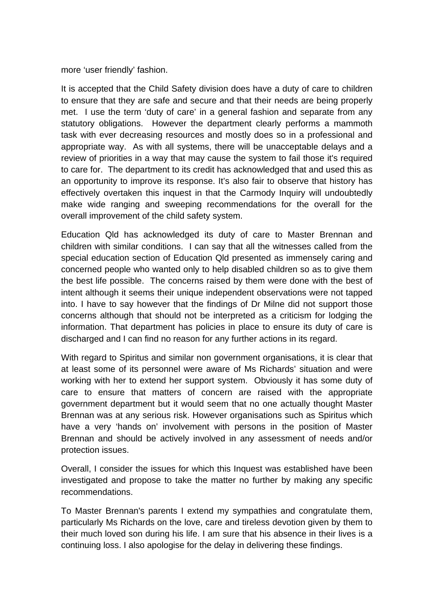more 'user friendly' fashion.

It is accepted that the Child Safety division does have a duty of care to children to ensure that they are safe and secure and that their needs are being properly met. I use the term 'duty of care' in a general fashion and separate from any statutory obligations. However the department clearly performs a mammoth task with ever decreasing resources and mostly does so in a professional and appropriate way. As with all systems, there will be unacceptable delays and a review of priorities in a way that may cause the system to fail those it's required to care for. The department to its credit has acknowledged that and used this as an opportunity to improve its response. It's also fair to observe that history has effectively overtaken this inquest in that the Carmody Inquiry will undoubtedly make wide ranging and sweeping recommendations for the overall for the overall improvement of the child safety system.

Education Qld has acknowledged its duty of care to Master Brennan and children with similar conditions. I can say that all the witnesses called from the special education section of Education Qld presented as immensely caring and concerned people who wanted only to help disabled children so as to give them the best life possible. The concerns raised by them were done with the best of intent although it seems their unique independent observations were not tapped into. I have to say however that the findings of Dr Milne did not support those concerns although that should not be interpreted as a criticism for lodging the information. That department has policies in place to ensure its duty of care is discharged and I can find no reason for any further actions in its regard.

With regard to Spiritus and similar non government organisations, it is clear that at least some of its personnel were aware of Ms Richards' situation and were working with her to extend her support system. Obviously it has some duty of care to ensure that matters of concern are raised with the appropriate government department but it would seem that no one actually thought Master Brennan was at any serious risk. However organisations such as Spiritus which have a very 'hands on' involvement with persons in the position of Master Brennan and should be actively involved in any assessment of needs and/or protection issues.

Overall, I consider the issues for which this Inquest was established have been investigated and propose to take the matter no further by making any specific recommendations.

To Master Brennan's parents I extend my sympathies and congratulate them, particularly Ms Richards on the love, care and tireless devotion given by them to their much loved son during his life. I am sure that his absence in their lives is a continuing loss. I also apologise for the delay in delivering these findings.